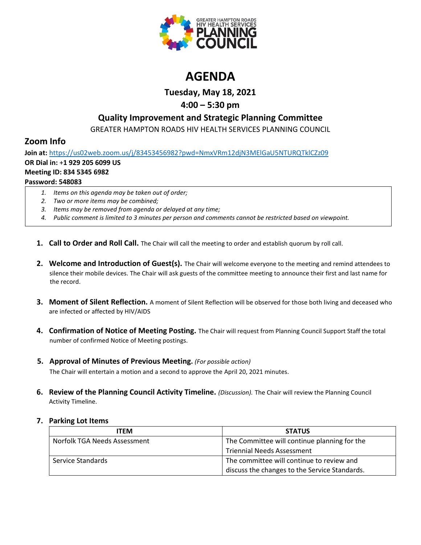

# **AGENDA**

**Tuesday, May 18, 2021**

## **4:00 – 5:30 pm**

### **Quality Improvement and Strategic Planning Committee**

GREATER HAMPTON ROADS HIV HEALTH SERVICES PLANNING COUNCIL

# **Zoom Info**

**Join at:** <https://us02web.zoom.us/j/83453456982?pwd=NmxVRm12djN3MElGaU5NTURQTklCZz09> **OR Dial in:** +**1 929 205 6099 US Meeting ID: 834 5345 6982 Password: 548083**

- *1. Items on this agenda may be taken out of order;*
- *2. Two or more items may be combined;*
- *3. Items may be removed from agenda or delayed at any time;*
- *4. Public comment is limited to 3 minutes per person and comments cannot be restricted based on viewpoint.*
- **1. Call to Order and Roll Call.** The Chair will call the meeting to order and establish quorum by roll call.
- **2. Welcome and Introduction of Guest(s).** The Chair will welcome everyone to the meeting and remind attendees to silence their mobile devices. The Chair will ask guests of the committee meeting to announce their first and last name for the record.
- **3. Moment of Silent Reflection.** A moment of Silent Reflection will be observed for those both living and deceased who are infected or affected by HIV/AIDS
- **4. Confirmation of Notice of Meeting Posting.** The Chair will request from Planning Council Support Staff the total number of confirmed Notice of Meeting postings.
- **5. Approval of Minutes of Previous Meeting.** *(For possible action)*

The Chair will entertain a motion and a second to approve the April 20, 2021 minutes.

**6. Review of the Planning Council Activity Timeline.** *(Discussion).* The Chair will review the Planning Council Activity Timeline.

### **7. Parking Lot Items**

| <b>ITEM</b>                  | <b>STATUS</b>                                 |
|------------------------------|-----------------------------------------------|
| Norfolk TGA Needs Assessment | The Committee will continue planning for the  |
|                              | <b>Triennial Needs Assessment</b>             |
| Service Standards            | The committee will continue to review and     |
|                              | discuss the changes to the Service Standards. |